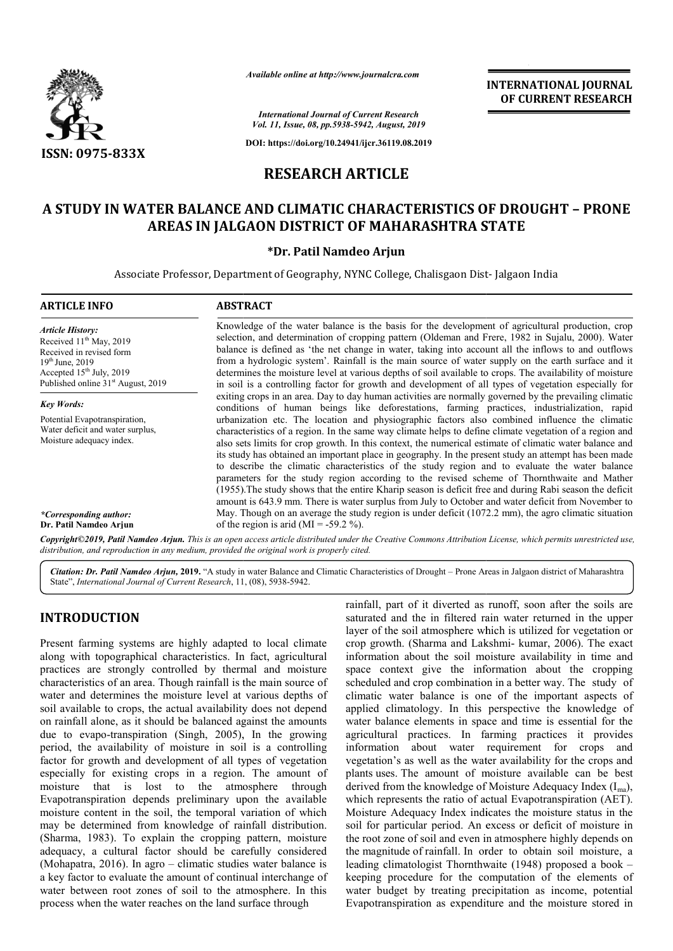

*Available online at http://www.journalcra.com*

**INTERNATIONAL JOURNAL OF CURRENT RESEARCH**

*International Journal of Current Research Vol. 11, Issue, 08, pp.5938-5942, August, 2019*

**DOI: https://doi.org/10.24941/ijcr.36119.08.2019**

# **RESEARCH ARTICLE**

# **A STUDY IN WATER BALANCE AND CLIMATIC CHARACTERISTICS OF DROUGHT STUDY IN – PRONE AREAS IN JALGAON DISTRICT OF MAHARASHTRA STATE DISTRICT OF**

# **\*Dr. Patil Namdeo Arjun**

Associate Professor, Department of Geography, NYNC College, Chalisgaon Dist- Jalgaon India

#### **ARTICLE INFO ABSTRACT** Knowledge of the water balance is the basis for the development of agricultural production, crop selection, and determination of cropping pattern (Oldeman and Frere, 1982 in Sujalu, 2000). Water balance is defined as 'the net change in water, taking into account all the inflows to and outflows from a hydrologic system'. Rainfall is the main source of water supply on the earth surface and it determines the moisture level at various depths of soil available to crops. The availability of moisture in soil is a controlling factor for growth and development of all types of vegetation especially for exiting crops in an area. Day to day human activities are normally governed by the prevailing climatic conditions of human beings like deforestations, farming practices, industrialization, rapid urbanization etc. The location and physiographic factors also combined influence the climatic characteristics of a region. In the same way climate helps to define climate vegetation of a region and also sets limits for crop growth. In this context, the numerical estimate of climatic water balance and its study has obtained an important place in geography. In the present study an attempt has been made to describe the climatic characteristics of the study region and to evaluate the water balance parameters for the study region according to the revised scheme of Thornthwaite and Mather (1955).The study shows that the entire Kharip season is deficit free and during Rabi season the deficit its study has obtained an important place in geography. In the present study an attempt has been made to describe the climatic characteristics of the study region and to evaluate the water balance parameters for the study May. Though on an average the study region is under deficit  $(1072.2 \text{ mm})$ , the agro climatic situation of the region is arid (MI = -59.2 %). *Article History:* Received 11<sup>th</sup> May, 2019 Received in revised form 19th June, 2019 Accepted 15<sup>th</sup> July, 2019 Published online 31<sup>st</sup> August, 2019 *Key Words:* Potential Evapotranspiration, Water deficit and water surplus, Moisture adequacy index. *\*Corresponding author:*  **Dr. Patil Namdeo Arjun** Knowledge of the water balance is the basis for the development of agricultural production, crop selection, and determination of cropping pattern (Oldeman and Frere, 1982 in Sujalu, 2000). Water balance is defined as 'the

Copyright©2019, Patil Namdeo Arjun. This is an open access article distributed under the Creative Commons Attribution License, which permits unrestricted use, *distribution, and reproduction in any medium, provided the original work is properly cited.*

Citation: Dr. Patil Namdeo Arjun, 2019. "A study in water Balance and Climatic Characteristics of Drought - Prone Areas in Jalgaon district of Maharashtra State", *International Journal of Current Research*, 11, (08), 5938-5942.

# **INTRODUCTION**

Present farming systems are highly adapted to local climate along with topographical characteristics. In fact, agricultural practices are strongly controlled by thermal and moisture characteristics of an area. Though rainfall is the main source of water and determines the moisture level at various depths of soil available to crops, the actual availability does not depend on rainfall alone, as it should be balanced against the amounts due to evapo-transpiration (Singh, 2005), In the growing period, the availability of moisture in soil is a controlling factor for growth and development of all types of vegetation especially for existing crops in a region. The amount of moisture that is lost to the atmosphere through Evapotranspiration depends preliminary upon the available moisture content in the soil, the temporal vari may be determined from knowledge of rainfall distribution. (Sharma, 1983). To explain the cropping pattern, moisture adequacy, a cultural factor should be carefully considered (Mohapatra, 2016). In agro – climatic studies water balance is a key factor to evaluate the amount of continual interchange of water between root zones of soil to the atmosphere. In this process when the water reaches on the land surface through ailable to crops, the actual availability does not depend<br>fall alone, as it should be balanced against the amounts<br> $\rho$  evapo-transpiration (Singh, 2005), In the growing<br>the availability of moisture in soil is a controllin rainfall, part of it diverted as runoff, soon after the soils are saturated and the in filtered rain water returned in the upper layer of the soil atmosphere which is utilized for vegetation or crop growth. (Sharma and Lakshmi information about the soil moisture availability in time and space context give the information about the cropping scheduled and crop combination in a better way. The study of climatic water balance is one of the important aspects of applied climatology. In this perspective the knowledge of water balance elements in space and time is essential for the agricultural practices. In farming practices it provides information about water requirement for crops and vegetation's as well as the water availability for the crops and plants uses. The amount of moisture available can be b derived from the knowledge of Moisture Adequacy Index  $(I_{ma})$ , which represents the ratio of actual Evapotranspiration (AET). Moisture Adequacy Index indicates the moisture status in the soil for particular period. An excess or deficit of moisture in the root zone of soil and even in atmosphere highly depends on the magnitude of rainfall. In order to obtain soil moisture, a leading climatologist Thornthwaite (1948) proposed a book keeping procedure for the computation of the elements of water budget by treating precipitation as income, potential Evapotranspiration as expenditure and the moisture stored in rainfall, part of it diverted as runoff, soon after the soils are saturated and the in filtered rain water returned in the upper layer of the soil atmosphere which is utilized for vegetation or crop growth. (Sharma and Lak information about the soil moisture availability in time and<br>space context give the information about the cropping<br>scheduled and crop combination in a better way. The study of water balance is one of the important aspects of climatology. In this perspective the knowledge of lance elements in space and time is essential for the agricultural practices. In farming practices it provides information about water requirement for crops and vegetation's as well as the water availability for the crops and plants uses. The amount of moisture available can represents the ratio of actual Evapotranspiration (AET).<br>Ire Adequacy Index indicates the moisture status in the<br>r particular period. An excess or deficit of moisture in<br>t zone of soil and even in atmosphere highly depends THE TRIM THE CONSTRAIT CONSTRAIT (OF THE CONSTRAIT (CONSTRAIT (CONSTRAIT (CONSTRAIT (CONSTRAIT (CONSTRAIT) AND (CONSTRAIT TRIM THE CONSTRAIT (CONSTRAIT TRIM AND AND A STATE (CONSTRAIT TRIM AND AND A STATE (CONSTRAIT TRIM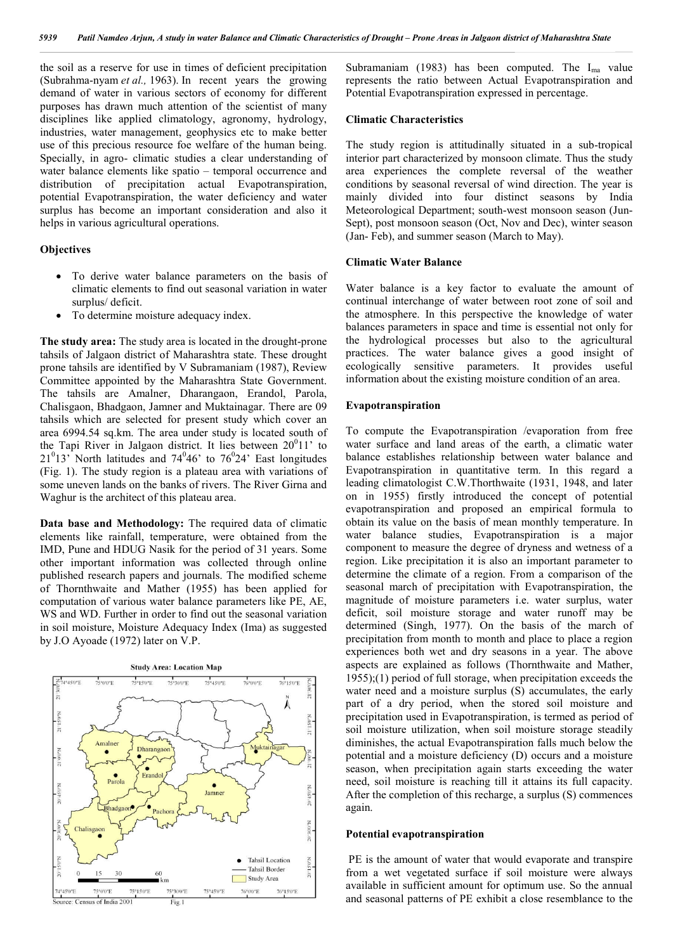the soil as a reserve for use in times of deficient precipitation (Subrahma-nyam *et al.,* 1963). In recent years the growing demand of water in various sectors of economy for different purposes has drawn much attention of the scientist of many disciplines like applied climatology, agronomy, hydrology, industries, water management, geophysics etc to make better use of this precious resource foe welfare of the human being. Specially, in agro- climatic studies a clear understanding of water balance elements like spatio – temporal occurrence and distribution of precipitation actual Evapotranspiration, potential Evapotranspiration, the water deficiency and water surplus has become an important consideration and also it helps in various agricultural operations.

#### **Objectives**

- To derive water balance parameters on the basis of climatic elements to find out seasonal variation in water surplus/ deficit.
- To determine moisture adequacy index.

**The study area:** The study area is located in the drought-prone tahsils of Jalgaon district of Maharashtra state. These drought prone tahsils are identified by V Subramaniam (1987), Review Committee appointed by the Maharashtra State Government. The tahsils are Amalner, Dharangaon, Erandol, Parola, Chalisgaon, Bhadgaon, Jamner and Muktainagar. There are 09 tahsils which are selected for present study which cover an area 6994.54 sq.km. The area under study is located south of the Tapi River in Jalgaon district. It lies between  $20^011'$  to  $21^013'$  North latitudes and  $74^046'$  to  $76^024'$  East longitudes (Fig. 1). The study region is a plateau area with variations of some uneven lands on the banks of rivers. The River Girna and Waghur is the architect of this plateau area.

**Data base and Methodology:** The required data of climatic elements like rainfall, temperature, were obtained from the IMD, Pune and HDUG Nasik for the period of 31 years. Some other important information was collected through online published research papers and journals. The modified scheme of Thornthwaite and Mather (1955) has been applied for computation of various water balance parameters like PE, AE, WS and WD. Further in order to find out the seasonal variation in soil moisture, Moisture Adequacy Index (Ima) as suggested by J.O Ayoade (1972) later on V.P.



Subramaniam (1983) has been computed. The  $I_{ma}$  value represents the ratio between Actual Evapotranspiration and Potential Evapotranspiration expressed in percentage.

#### **Climatic Characteristics**

The study region is attitudinally situated in a sub-tropical interior part characterized by monsoon climate. Thus the study area experiences the complete reversal of the weather conditions by seasonal reversal of wind direction. The year is mainly divided into four distinct seasons by India Meteorological Department; south-west monsoon season (Jun-Sept), post monsoon season (Oct, Nov and Dec), winter season (Jan- Feb), and summer season (March to May).

#### **Climatic Water Balance**

Water balance is a key factor to evaluate the amount of continual interchange of water between root zone of soil and the atmosphere. In this perspective the knowledge of water balances parameters in space and time is essential not only for the hydrological processes but also to the agricultural practices. The water balance gives a good insight of ecologically sensitive parameters. It provides useful information about the existing moisture condition of an area.

#### **Evapotranspiration**

To compute the Evapotranspiration /evaporation from free water surface and land areas of the earth, a climatic water balance establishes relationship between water balance and Evapotranspiration in quantitative term. In this regard a leading climatologist C.W.Thorthwaite (1931, 1948, and later on in 1955) firstly introduced the concept of potential evapotranspiration and proposed an empirical formula to obtain its value on the basis of mean monthly temperature. In water balance studies, Evapotranspiration is a major component to measure the degree of dryness and wetness of a region. Like precipitation it is also an important parameter to determine the climate of a region. From a comparison of the seasonal march of precipitation with Evapotranspiration, the magnitude of moisture parameters i.e. water surplus, water deficit, soil moisture storage and water runoff may be determined (Singh, 1977). On the basis of the march of precipitation from month to month and place to place a region experiences both wet and dry seasons in a year. The above aspects are explained as follows (Thornthwaite and Mather, 1955);(1) period of full storage, when precipitation exceeds the water need and a moisture surplus (S) accumulates, the early part of a dry period, when the stored soil moisture and precipitation used in Evapotranspiration, is termed as period of soil moisture utilization, when soil moisture storage steadily diminishes, the actual Evapotranspiration falls much below the potential and a moisture deficiency (D) occurs and a moisture season, when precipitation again starts exceeding the water need, soil moisture is reaching till it attains its full capacity. After the completion of this recharge, a surplus (S) commences again.

#### **Potential evapotranspiration**

PE is the amount of water that would evaporate and transpire from a wet vegetated surface if soil moisture were always available in sufficient amount for optimum use. So the annual and seasonal patterns of PE exhibit a close resemblance to the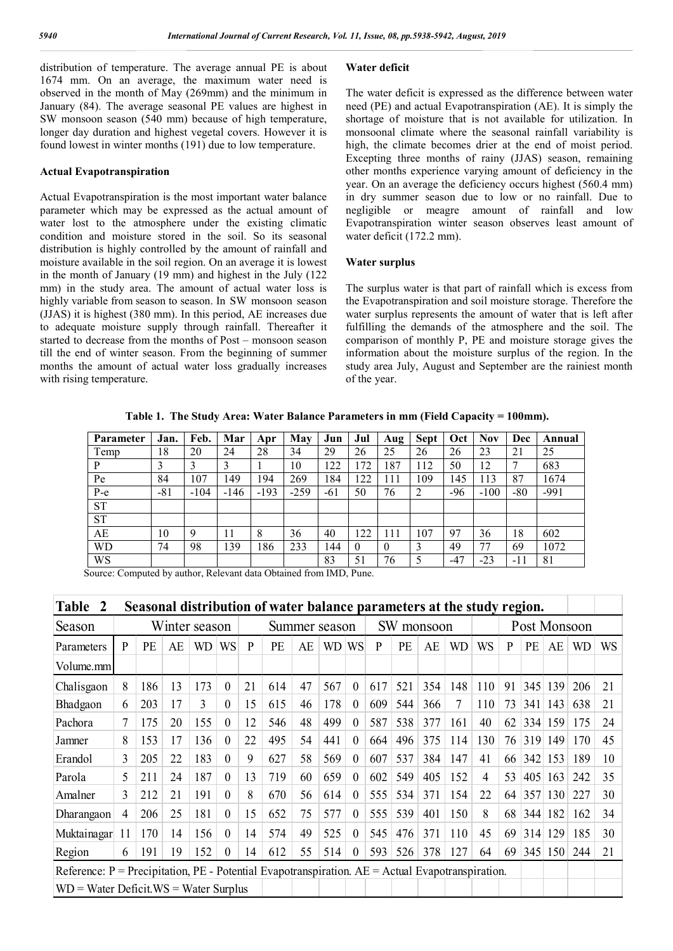distribution of temperature. The average annual PE is about 1674 mm. On an average, the maximum water need is observed in the month of May (269mm) and the minimum in January (84). The average seasonal PE values are highest in SW monsoon season (540 mm) because of high temperature, longer day duration and highest vegetal covers. However it is found lowest in winter months (191) due to low temperature.

### **Actual Evapotranspiration**

Actual Evapotranspiration is the most important water balance parameter which may be expressed as the actual amount of water lost to the atmosphere under the existing climatic condition and moisture stored in the soil. So its seasonal distribution is highly controlled by the amount of rainfall and moisture available in the soil region. On an average it is lowest in the month of January (19 mm) and highest in the July (122 mm) in the study area. The amount of actual water loss is highly variable from season to season. In SW monsoon season (JJAS) it is highest (380 mm). In this period, AE increases due to adequate moisture supply through rainfall. Thereafter it started to decrease from the months of Post – monsoon season till the end of winter season. From the beginning of summer months the amount of actual water loss gradually increases with rising temperature.

# **Water deficit**

The water deficit is expressed as the difference between water need (PE) and actual Evapotranspiration (AE). It is simply the shortage of moisture that is not available for utilization. In monsoonal climate where the seasonal rainfall variability is high, the climate becomes drier at the end of moist period. Excepting three months of rainy (JJAS) season, remaining other months experience varying amount of deficiency in the year. On an average the deficiency occurs highest (560.4 mm) in dry summer season due to low or no rainfall. Due to negligible or meagre amount of rainfall and low Evapotranspiration winter season observes least amount of water deficit (172.2 mm).

#### **Water surplus**

The surplus water is that part of rainfall which is excess from the Evapotranspiration and soil moisture storage. Therefore the water surplus represents the amount of water that is left after fulfilling the demands of the atmosphere and the soil. The comparison of monthly P, PE and moisture storage gives the information about the moisture surplus of the region. In the study area July, August and September are the rainiest month of the year.

**Table 1. The Study Area: Water Balance Parameters in mm (Field Capacity = 100mm).**

| Parameter | Jan.  | Feb.   | Mar    | Apr    | May    | Jun   | Jul      | Aug      | <b>Sept</b> | Oct   | <b>Nov</b> | Dec   | Annual |
|-----------|-------|--------|--------|--------|--------|-------|----------|----------|-------------|-------|------------|-------|--------|
| Temp      | 18    | 20     | 24     | 28     | 34     | 29    | 26       | 25       | 26          | 26    | 23         | 21    | 25     |
| P         | 3     |        |        |        | 10     | 122   | 72       | 187      | 112         | 50    | 12         |       | 683    |
| Pe        | 84    | 107    | 149    | 194    | 269    | 184   | 22       | 111      | 109         | 145   | 113        | 87    | 1674   |
| $P-e$     | $-81$ | $-104$ | $-146$ | $-193$ | $-259$ | $-61$ | 50       | 76       | ∍           | -96   | $-100$     | $-80$ | $-991$ |
| <b>ST</b> |       |        |        |        |        |       |          |          |             |       |            |       |        |
| <b>ST</b> |       |        |        |        |        |       |          |          |             |       |            |       |        |
| AЕ        | 10    | 9      | 11     | 8      | 36     | 40    | 122      | 111      | 107         | 97    | 36         | 18    | 602    |
| <b>WD</b> | 74    | 98     | 139    | 186    | 233    | 144   | $\theta$ | $\theta$ |             | 49    | 77         | 69    | 1072   |
| WS        |       |        |        |        |        | 83    | 51       | 76       |             | $-47$ | $-23$      | $-11$ | 81     |

Source: Computed by author, Relevant data Obtained from IMD, Pune.

| Table<br>$\mathbf{2}$                                                                       | Seasonal distribution of water balance parameters at the study region. |     |    |     |               |    |     |    |            |                    |     |     |     |              |     |    |     |     |     |    |
|---------------------------------------------------------------------------------------------|------------------------------------------------------------------------|-----|----|-----|---------------|----|-----|----|------------|--------------------|-----|-----|-----|--------------|-----|----|-----|-----|-----|----|
| Season                                                                                      | Winter season                                                          |     |    |     | Summer season |    |     |    | SW monsoon |                    |     |     |     | Post Monsoon |     |    |     |     |     |    |
| Parameters                                                                                  | P                                                                      | PE  | AE | WD  | WS            | P  | PE  | AE | WD         | <b>WS</b>          | P   | PE  | AE  | WD           | WS  | P  | PE  | AE  | WD  | WS |
| Volume.mm                                                                                   |                                                                        |     |    |     |               |    |     |    |            |                    |     |     |     |              |     |    |     |     |     |    |
| Chalisgaon                                                                                  | 8                                                                      | 186 | 13 | 173 | $\theta$      | 21 | 614 | 47 | 567        | $\Omega$           | 617 | 521 | 354 | 148          | 110 | 91 | 345 | 139 | 206 | 21 |
| Bhadgaon                                                                                    | 6                                                                      | 203 | 17 | 3   | $\Omega$      | 15 | 615 | 46 | 178        | $\Omega$           | 609 | 544 | 366 | 7            | 110 | 73 | 341 | 143 | 638 | 21 |
| Pachora                                                                                     |                                                                        | 175 | 20 | 155 | 0             | 12 | 546 | 48 | 499        | $\left( 0 \right)$ | 587 | 538 | 377 | 161          | 40  | 62 | 334 | 159 | 175 | 24 |
| Jamner                                                                                      | 8                                                                      | 153 | 17 | 136 | $\theta$      | 22 | 495 | 54 | 441        | $\theta$           | 664 | 496 | 375 | 114          | 130 | 76 | 319 | 149 | 170 | 45 |
| Erandol                                                                                     | 3                                                                      | 205 | 22 | 183 | $\theta$      | 9  | 627 | 58 | 569        | $\Omega$           | 607 | 537 | 384 | 147          | 41  | 66 | 342 | 153 | 189 | 10 |
| Parola                                                                                      | 5                                                                      | 211 | 24 | 187 | $\Omega$      | 13 | 719 | 60 | 659        | $\Omega$           | 602 | 549 | 405 | 152          | 4   | 53 | 405 | 163 | 242 | 35 |
| Amalner                                                                                     | 3                                                                      | 212 | 21 | 191 | $\Omega$      | 8  | 670 | 56 | 614        | $\theta$           | 555 | 534 | 371 | 154          | 22  | 64 | 357 | 130 | 227 | 30 |
| Dharangaon                                                                                  | 4                                                                      | 206 | 25 | 181 | $\theta$      | 15 | 652 | 75 | 577        | $\left( 0 \right)$ | 555 | 539 | 401 | 150          | 8   | 68 | 344 | 182 | 162 | 34 |
| Muktainagar                                                                                 | 11                                                                     | 170 | 14 | 156 | $\Omega$      | 14 | 574 | 49 | 525        | $\Omega$           | 545 | 476 | 371 | 110          | 45  | 69 | 314 | 129 | 185 | 30 |
| Region                                                                                      | 6                                                                      | 191 | 19 | 152 | $\theta$      | 14 | 612 | 55 | 514        | $\theta$           | 593 | 526 | 378 | 127          | 64  | 69 | 345 | 150 | 244 | 21 |
| Reference: $P = Precipitation$ , $PE - Potential Evaporation$ . $AE = Actual Evaporation$ . |                                                                        |     |    |     |               |    |     |    |            |                    |     |     |     |              |     |    |     |     |     |    |
| $WD = Water Deficit.WS = Water Surplus$                                                     |                                                                        |     |    |     |               |    |     |    |            |                    |     |     |     |              |     |    |     |     |     |    |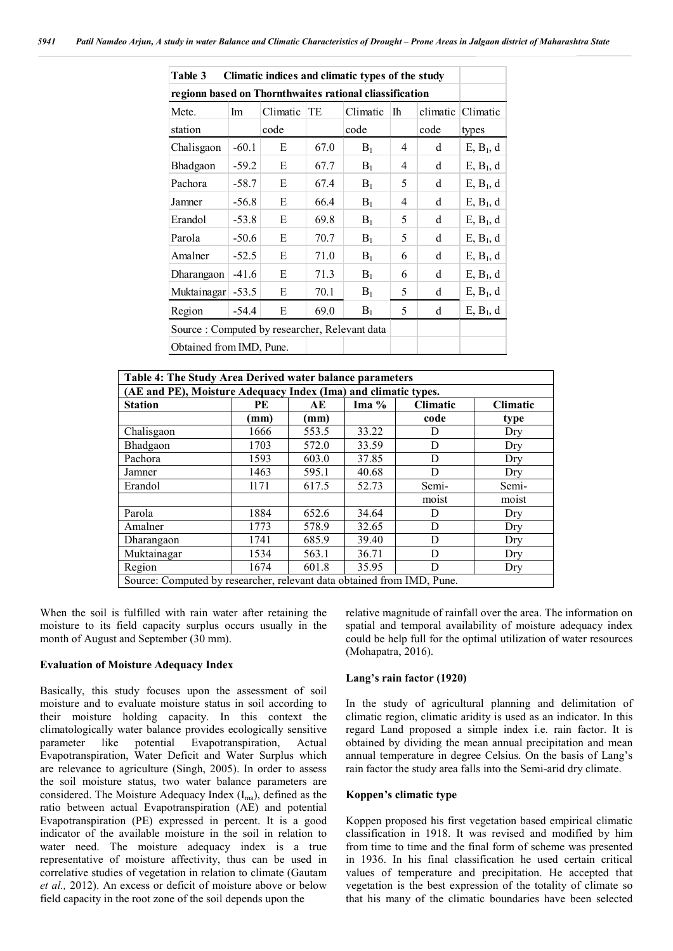| Climatic indices and climatic types of the study<br>Table 3 |         |          |      |          |    |          |                       |  |  |  |  |
|-------------------------------------------------------------|---------|----------|------|----------|----|----------|-----------------------|--|--|--|--|
| regionn based on Thornthwaites rational cliassification     |         |          |      |          |    |          |                       |  |  |  |  |
| Mete.                                                       | Im      | Climatic | TE   | Climatic | Ih | climatic | Climatic              |  |  |  |  |
| station                                                     |         | code     |      | code     |    | code     | types                 |  |  |  |  |
| Chalisgaon                                                  | $-60.1$ | E        | 67.0 | $B_1$    | 4  | d        | E, B <sub>1</sub> , d |  |  |  |  |
| Bhadgaon                                                    | $-59.2$ | E        | 67.7 | $B_1$    | 4  | d        | E, B <sub>1</sub> , d |  |  |  |  |
| Pachora                                                     | $-58.7$ | Е        | 67.4 | $B_1$    | 5  | d        | E, B <sub>1</sub> , d |  |  |  |  |
| Jamner                                                      | $-56.8$ | E        | 66.4 | $B_1$    | 4  | d        | E, B <sub>1</sub> , d |  |  |  |  |
| Erandol                                                     | $-53.8$ | E        | 69.8 | $B_1$    | 5  | d        | E, B <sub>1</sub> , d |  |  |  |  |
| Parola                                                      | $-50.6$ | E        | 70.7 | $B_1$    | 5  | d        | E, B <sub>1</sub> , d |  |  |  |  |
| Amalner                                                     | $-52.5$ | Е        | 71.0 | $B_1$    | 6  | d        | E, B <sub>1</sub> , d |  |  |  |  |
| $-41.6$<br>Dharangaon                                       |         | Е        | 71.3 | $B_1$    | 6  | d        | E, B <sub>1</sub> , d |  |  |  |  |
| Muktainagar                                                 | $-53.5$ | Е        | 70.1 | $B_1$    | 5  | d        | E, B <sub>1</sub> , d |  |  |  |  |
| Region                                                      | $-54.4$ | E        | 69.0 | $B_1$    | 5  | d        | E, B <sub>1</sub> , d |  |  |  |  |
| Source: Computed by researcher, Relevant data               |         |          |      |          |    |          |                       |  |  |  |  |
| Obtained from IMD, Pune.                                    |         |          |      |          |    |          |                       |  |  |  |  |

| Table 4: The Study Area Derived water balance parameters               |      |                 |       |       |       |  |  |  |  |  |  |
|------------------------------------------------------------------------|------|-----------------|-------|-------|-------|--|--|--|--|--|--|
| (AE and PE), Moisture Adequacy Index (Ima) and climatic types.         |      |                 |       |       |       |  |  |  |  |  |  |
| <b>Station</b>                                                         | PE   | <b>Climatic</b> |       |       |       |  |  |  |  |  |  |
|                                                                        | (mm) | (mm)            |       | code  | type  |  |  |  |  |  |  |
| Chalisgaon                                                             | 1666 | 553.5           | 33.22 | D     | Dry   |  |  |  |  |  |  |
| Bhadgaon                                                               | 1703 | 572.0           | 33.59 | D     | Dry   |  |  |  |  |  |  |
| Pachora                                                                | 1593 | 603.0           | 37.85 | D     | Dry   |  |  |  |  |  |  |
| Jamner                                                                 | 1463 | 595.1           | 40.68 | D     | Dry   |  |  |  |  |  |  |
| Erandol                                                                | 1171 | 617.5           | 52.73 | Semi- | Semi- |  |  |  |  |  |  |
|                                                                        |      |                 |       | moist | moist |  |  |  |  |  |  |
| Parola                                                                 | 1884 | 652.6           | 34.64 | D     | Dry   |  |  |  |  |  |  |
| Amalner                                                                | 1773 | 578.9           | 32.65 | D     | Dry   |  |  |  |  |  |  |
| Dharangaon                                                             | 1741 | 685.9           | 39.40 | D     | Dry   |  |  |  |  |  |  |
| Muktainagar                                                            | 1534 | 563.1           | 36.71 | D     | Dry   |  |  |  |  |  |  |
| Region                                                                 | 1674 | 601.8           | 35.95 | D     | Dry   |  |  |  |  |  |  |
| Source: Computed by researcher, relevant data obtained from IMD, Pune. |      |                 |       |       |       |  |  |  |  |  |  |

When the soil is fulfilled with rain water after retaining the moisture to its field capacity surplus occurs usually in the month of August and September (30 mm).

### **Evaluation of Moisture Adequacy Index**

Basically, this study focuses upon the assessment of soil moisture and to evaluate moisture status in soil according to their moisture holding capacity. In this context the climatologically water balance provides ecologically sensitive parameter like potential Evapotranspiration, Actual Evapotranspiration, Water Deficit and Water Surplus which are relevance to agriculture (Singh, 2005). In order to assess the soil moisture status, two water balance parameters are considered. The Moisture Adequacy Index  $(I<sub>ma</sub>)$ , defined as the ratio between actual Evapotranspiration (AE) and potential Evapotranspiration (PE) expressed in percent. It is a good indicator of the available moisture in the soil in relation to water need. The moisture adequacy index is a true representative of moisture affectivity, thus can be used in correlative studies of vegetation in relation to climate (Gautam *et al.,* 2012). An excess or deficit of moisture above or below field capacity in the root zone of the soil depends upon the

relative magnitude of rainfall over the area. The information on spatial and temporal availability of moisture adequacy index could be help full for the optimal utilization of water resources (Mohapatra, 2016).

## **Lang's rain factor (1920)**

In the study of agricultural planning and delimitation of climatic region, climatic aridity is used as an indicator. In this regard Land proposed a simple index i.e. rain factor. It is obtained by dividing the mean annual precipitation and mean annual temperature in degree Celsius. On the basis of Lang's rain factor the study area falls into the Semi-arid dry climate.

## **Koppen's climatic type**

Koppen proposed his first vegetation based empirical climatic classification in 1918. It was revised and modified by him from time to time and the final form of scheme was presented in 1936. In his final classification he used certain critical values of temperature and precipitation. He accepted that vegetation is the best expression of the totality of climate so that his many of the climatic boundaries have been selected